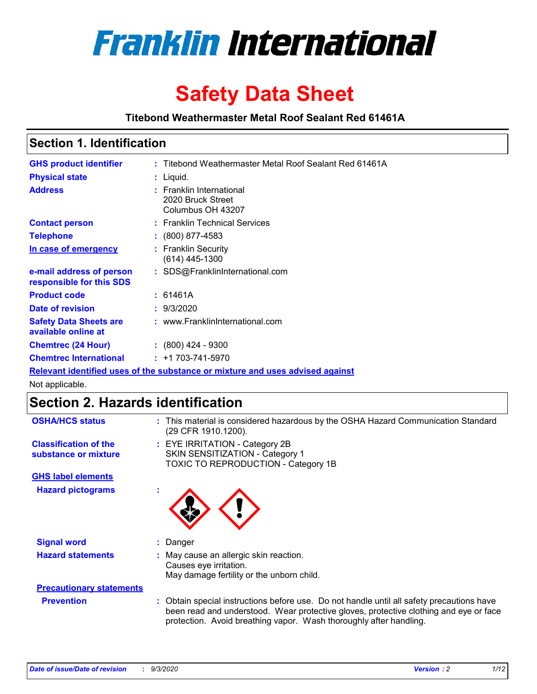

# **Safety Data Sheet**

**Titebond Weathermaster Metal Roof Sealant Red 61461A**

### **Section 1. Identification**

| <b>GHS product identifier</b>                                                 |  | : Titebond Weathermaster Metal Roof Sealant Red 61461A             |  |  |
|-------------------------------------------------------------------------------|--|--------------------------------------------------------------------|--|--|
| <b>Physical state</b>                                                         |  | $:$ Liquid.                                                        |  |  |
| <b>Address</b>                                                                |  | : Franklin International<br>2020 Bruck Street<br>Columbus OH 43207 |  |  |
| <b>Contact person</b>                                                         |  | : Franklin Technical Services                                      |  |  |
| <b>Telephone</b>                                                              |  | $\div$ (800) 877-4583                                              |  |  |
| In case of emergency                                                          |  | : Franklin Security<br>(614) 445-1300                              |  |  |
| e-mail address of person<br>responsible for this SDS                          |  | : SDS@FranklinInternational.com                                    |  |  |
| <b>Product code</b>                                                           |  | : 61461A                                                           |  |  |
| Date of revision                                                              |  | : 9/3/2020                                                         |  |  |
| <b>Safety Data Sheets are</b><br>available online at                          |  | : www.FranklinInternational.com                                    |  |  |
| <b>Chemtrec (24 Hour)</b>                                                     |  | $: (800)$ 424 - 9300                                               |  |  |
| <b>Chemtrec International</b>                                                 |  | $: +1703 - 741 - 5970$                                             |  |  |
| Relevant identified uses of the substance or mixture and uses advised against |  |                                                                    |  |  |

Not applicable.

### **Section 2. Hazards identification**

| <b>OSHA/HCS status</b>                               |    | : This material is considered hazardous by the OSHA Hazard Communication Standard<br>(29 CFR 1910.1200).                                                                                                                                                 |
|------------------------------------------------------|----|----------------------------------------------------------------------------------------------------------------------------------------------------------------------------------------------------------------------------------------------------------|
| <b>Classification of the</b><br>substance or mixture |    | : EYE IRRITATION - Category 2B<br>SKIN SENSITIZATION - Category 1<br>TOXIC TO REPRODUCTION - Category 1B                                                                                                                                                 |
| <b>GHS label elements</b>                            |    |                                                                                                                                                                                                                                                          |
| <b>Hazard pictograms</b>                             | ٠  |                                                                                                                                                                                                                                                          |
| <b>Signal word</b>                                   | ÷. | Danger                                                                                                                                                                                                                                                   |
| <b>Hazard statements</b>                             |    | May cause an allergic skin reaction.<br>Causes eye irritation.<br>May damage fertility or the unborn child.                                                                                                                                              |
| <b>Precautionary statements</b>                      |    |                                                                                                                                                                                                                                                          |
| <b>Prevention</b>                                    |    | : Obtain special instructions before use. Do not handle until all safety precautions have<br>been read and understood. Wear protective gloves, protective clothing and eye or face<br>protection. Avoid breathing vapor. Wash thoroughly after handling. |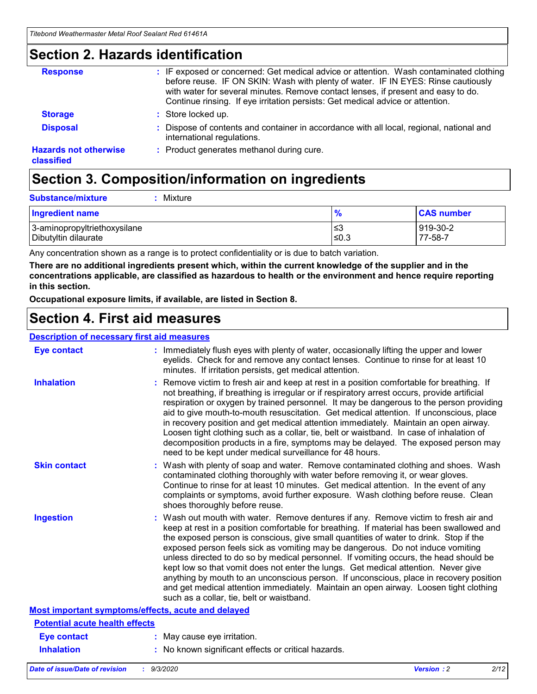### **Section 2. Hazards identification**

| <b>Response</b>                            | : IF exposed or concerned: Get medical advice or attention. Wash contaminated clothing<br>before reuse. IF ON SKIN: Wash with plenty of water. IF IN EYES: Rinse cautiously<br>with water for several minutes. Remove contact lenses, if present and easy to do.<br>Continue rinsing. If eye irritation persists: Get medical advice or attention. |
|--------------------------------------------|----------------------------------------------------------------------------------------------------------------------------------------------------------------------------------------------------------------------------------------------------------------------------------------------------------------------------------------------------|
| <b>Storage</b>                             | : Store locked up.                                                                                                                                                                                                                                                                                                                                 |
| <b>Disposal</b>                            | : Dispose of contents and container in accordance with all local, regional, national and<br>international regulations.                                                                                                                                                                                                                             |
| <b>Hazards not otherwise</b><br>classified | : Product generates methanol during cure.                                                                                                                                                                                                                                                                                                          |

# **Section 3. Composition/information on ingredients**

| <b>Substance/mixture</b> | Mixture |
|--------------------------|---------|
|                          |         |

| <b>Ingredient name</b>       | $\frac{9}{6}$ | <b>CAS number</b> |
|------------------------------|---------------|-------------------|
| 3-aminopropyltriethoxysilane | ՝≤3           | 919-30-2          |
| Dibutyltin dilaurate         | ∣≤0.3         | 77-58-7           |

Any concentration shown as a range is to protect confidentiality or is due to batch variation.

**There are no additional ingredients present which, within the current knowledge of the supplier and in the concentrations applicable, are classified as hazardous to health or the environment and hence require reporting in this section.**

**Occupational exposure limits, if available, are listed in Section 8.**

### **Section 4. First aid measures**

| <b>Description of necessary first aid measures</b> |                                                                                                                                                                                                                                                                                                                                                                                                                                                                                                                                                                                                                                                                                                                                                                           |
|----------------------------------------------------|---------------------------------------------------------------------------------------------------------------------------------------------------------------------------------------------------------------------------------------------------------------------------------------------------------------------------------------------------------------------------------------------------------------------------------------------------------------------------------------------------------------------------------------------------------------------------------------------------------------------------------------------------------------------------------------------------------------------------------------------------------------------------|
| <b>Eye contact</b>                                 | : Immediately flush eyes with plenty of water, occasionally lifting the upper and lower<br>eyelids. Check for and remove any contact lenses. Continue to rinse for at least 10<br>minutes. If irritation persists, get medical attention.                                                                                                                                                                                                                                                                                                                                                                                                                                                                                                                                 |
| <b>Inhalation</b>                                  | : Remove victim to fresh air and keep at rest in a position comfortable for breathing. If<br>not breathing, if breathing is irregular or if respiratory arrest occurs, provide artificial<br>respiration or oxygen by trained personnel. It may be dangerous to the person providing<br>aid to give mouth-to-mouth resuscitation. Get medical attention. If unconscious, place<br>in recovery position and get medical attention immediately. Maintain an open airway.<br>Loosen tight clothing such as a collar, tie, belt or waistband. In case of inhalation of<br>decomposition products in a fire, symptoms may be delayed. The exposed person may<br>need to be kept under medical surveillance for 48 hours.                                                       |
| <b>Skin contact</b>                                | : Wash with plenty of soap and water. Remove contaminated clothing and shoes. Wash<br>contaminated clothing thoroughly with water before removing it, or wear gloves.<br>Continue to rinse for at least 10 minutes. Get medical attention. In the event of any<br>complaints or symptoms, avoid further exposure. Wash clothing before reuse. Clean<br>shoes thoroughly before reuse.                                                                                                                                                                                                                                                                                                                                                                                     |
| <b>Ingestion</b>                                   | : Wash out mouth with water. Remove dentures if any. Remove victim to fresh air and<br>keep at rest in a position comfortable for breathing. If material has been swallowed and<br>the exposed person is conscious, give small quantities of water to drink. Stop if the<br>exposed person feels sick as vomiting may be dangerous. Do not induce vomiting<br>unless directed to do so by medical personnel. If vomiting occurs, the head should be<br>kept low so that vomit does not enter the lungs. Get medical attention. Never give<br>anything by mouth to an unconscious person. If unconscious, place in recovery position<br>and get medical attention immediately. Maintain an open airway. Loosen tight clothing<br>such as a collar, tie, belt or waistband. |
| Most important symptoms/effects, acute and delayed |                                                                                                                                                                                                                                                                                                                                                                                                                                                                                                                                                                                                                                                                                                                                                                           |
| <b>Potential acute health effects</b>              |                                                                                                                                                                                                                                                                                                                                                                                                                                                                                                                                                                                                                                                                                                                                                                           |
| <b>Eye contact</b>                                 | : May cause eye irritation.                                                                                                                                                                                                                                                                                                                                                                                                                                                                                                                                                                                                                                                                                                                                               |
| <b>Inhalation</b>                                  | : No known significant effects or critical hazards.                                                                                                                                                                                                                                                                                                                                                                                                                                                                                                                                                                                                                                                                                                                       |
|                                                    |                                                                                                                                                                                                                                                                                                                                                                                                                                                                                                                                                                                                                                                                                                                                                                           |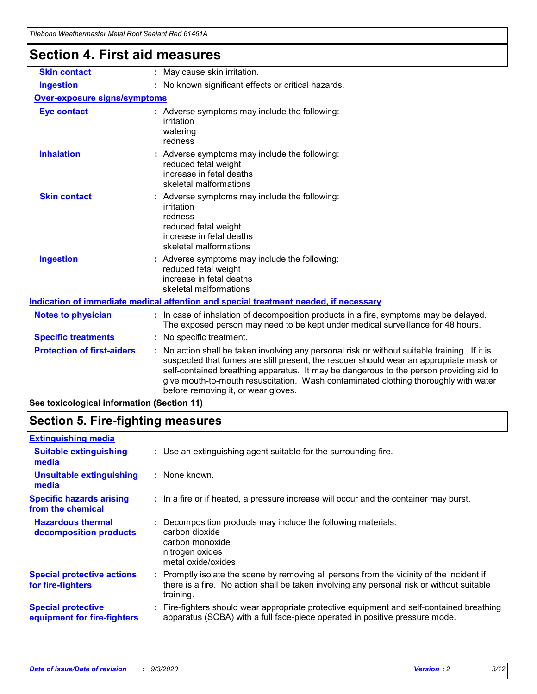| Titebond Weathermaster Metal Roof Sealant Red 61461A                                 |                                                                                                                                                                                                                                                                                                                                                                                                               |  |  |  |
|--------------------------------------------------------------------------------------|---------------------------------------------------------------------------------------------------------------------------------------------------------------------------------------------------------------------------------------------------------------------------------------------------------------------------------------------------------------------------------------------------------------|--|--|--|
| <b>Section 4. First aid measures</b>                                                 |                                                                                                                                                                                                                                                                                                                                                                                                               |  |  |  |
| <b>Skin contact</b>                                                                  | : May cause skin irritation.                                                                                                                                                                                                                                                                                                                                                                                  |  |  |  |
| <b>Ingestion</b>                                                                     | : No known significant effects or critical hazards.                                                                                                                                                                                                                                                                                                                                                           |  |  |  |
| <b>Over-exposure signs/symptoms</b>                                                  |                                                                                                                                                                                                                                                                                                                                                                                                               |  |  |  |
| <b>Eye contact</b>                                                                   | : Adverse symptoms may include the following:<br>irritation<br>watering<br>redness                                                                                                                                                                                                                                                                                                                            |  |  |  |
| <b>Inhalation</b>                                                                    | : Adverse symptoms may include the following:<br>reduced fetal weight<br>increase in fetal deaths<br>skeletal malformations                                                                                                                                                                                                                                                                                   |  |  |  |
| <b>Skin contact</b>                                                                  | Adverse symptoms may include the following:<br>irritation<br>redness<br>reduced fetal weight<br>increase in fetal deaths<br>skeletal malformations                                                                                                                                                                                                                                                            |  |  |  |
| <b>Ingestion</b>                                                                     | : Adverse symptoms may include the following:<br>reduced fetal weight<br>increase in fetal deaths<br>skeletal malformations                                                                                                                                                                                                                                                                                   |  |  |  |
| Indication of immediate medical attention and special treatment needed, if necessary |                                                                                                                                                                                                                                                                                                                                                                                                               |  |  |  |
| <b>Notes to physician</b>                                                            | : In case of inhalation of decomposition products in a fire, symptoms may be delayed.<br>The exposed person may need to be kept under medical surveillance for 48 hours.                                                                                                                                                                                                                                      |  |  |  |
| <b>Specific treatments</b>                                                           | : No specific treatment.                                                                                                                                                                                                                                                                                                                                                                                      |  |  |  |
| <b>Protection of first-aiders</b><br>aa taylaalaalaal infarmatian (Caatian 44)       | No action shall be taken involving any personal risk or without suitable training. If it is<br>suspected that fumes are still present, the rescuer should wear an appropriate mask or<br>self-contained breathing apparatus. It may be dangerous to the person providing aid to<br>give mouth-to-mouth resuscitation. Wash contaminated clothing thoroughly with water<br>before removing it, or wear gloves. |  |  |  |

**See toxicological information (Section 11)**

### **Section 5. Fire-fighting measures**

| <b>Extinguishing media</b>                               |                                                                                                                                                                                                     |
|----------------------------------------------------------|-----------------------------------------------------------------------------------------------------------------------------------------------------------------------------------------------------|
| <b>Suitable extinguishing</b><br>media                   | : Use an extinguishing agent suitable for the surrounding fire.                                                                                                                                     |
| <b>Unsuitable extinguishing</b><br>media                 | : None known.                                                                                                                                                                                       |
| <b>Specific hazards arising</b><br>from the chemical     | : In a fire or if heated, a pressure increase will occur and the container may burst.                                                                                                               |
| <b>Hazardous thermal</b><br>decomposition products       | Decomposition products may include the following materials:<br>carbon dioxide<br>carbon monoxide<br>nitrogen oxides<br>metal oxide/oxides                                                           |
| <b>Special protective actions</b><br>for fire-fighters   | : Promptly isolate the scene by removing all persons from the vicinity of the incident if<br>there is a fire. No action shall be taken involving any personal risk or without suitable<br>training. |
| <b>Special protective</b><br>equipment for fire-fighters | Fire-fighters should wear appropriate protective equipment and self-contained breathing<br>apparatus (SCBA) with a full face-piece operated in positive pressure mode.                              |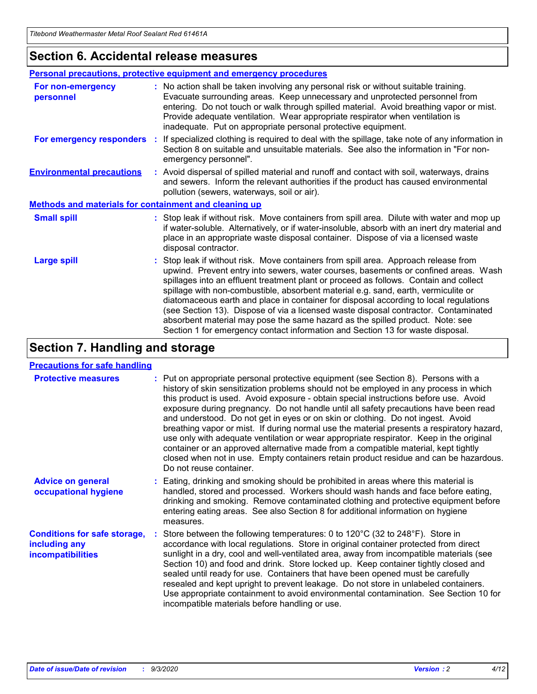### **Section 6. Accidental release measures**

|                                                              | Personal precautions, protective equipment and emergency procedures                                                                                                                                                                                                                                                                                                                                                                                                                                                                                                                                                                                                                                          |
|--------------------------------------------------------------|--------------------------------------------------------------------------------------------------------------------------------------------------------------------------------------------------------------------------------------------------------------------------------------------------------------------------------------------------------------------------------------------------------------------------------------------------------------------------------------------------------------------------------------------------------------------------------------------------------------------------------------------------------------------------------------------------------------|
| For non-emergency<br>personnel                               | : No action shall be taken involving any personal risk or without suitable training.<br>Evacuate surrounding areas. Keep unnecessary and unprotected personnel from<br>entering. Do not touch or walk through spilled material. Avoid breathing vapor or mist.<br>Provide adequate ventilation. Wear appropriate respirator when ventilation is<br>inadequate. Put on appropriate personal protective equipment.                                                                                                                                                                                                                                                                                             |
| For emergency responders                                     | : If specialized clothing is required to deal with the spillage, take note of any information in<br>Section 8 on suitable and unsuitable materials. See also the information in "For non-<br>emergency personnel".                                                                                                                                                                                                                                                                                                                                                                                                                                                                                           |
| <b>Environmental precautions</b>                             | : Avoid dispersal of spilled material and runoff and contact with soil, waterways, drains<br>and sewers. Inform the relevant authorities if the product has caused environmental<br>pollution (sewers, waterways, soil or air).                                                                                                                                                                                                                                                                                                                                                                                                                                                                              |
| <b>Methods and materials for containment and cleaning up</b> |                                                                                                                                                                                                                                                                                                                                                                                                                                                                                                                                                                                                                                                                                                              |
| <b>Small spill</b>                                           | : Stop leak if without risk. Move containers from spill area. Dilute with water and mop up<br>if water-soluble. Alternatively, or if water-insoluble, absorb with an inert dry material and<br>place in an appropriate waste disposal container. Dispose of via a licensed waste<br>disposal contractor.                                                                                                                                                                                                                                                                                                                                                                                                     |
| <b>Large spill</b>                                           | : Stop leak if without risk. Move containers from spill area. Approach release from<br>upwind. Prevent entry into sewers, water courses, basements or confined areas. Wash<br>spillages into an effluent treatment plant or proceed as follows. Contain and collect<br>spillage with non-combustible, absorbent material e.g. sand, earth, vermiculite or<br>diatomaceous earth and place in container for disposal according to local regulations<br>(see Section 13). Dispose of via a licensed waste disposal contractor. Contaminated<br>absorbent material may pose the same hazard as the spilled product. Note: see<br>Section 1 for emergency contact information and Section 13 for waste disposal. |

### **Section 7. Handling and storage**

#### **Precautions for safe handling**

| <b>Protective measures</b>                                                       | : Put on appropriate personal protective equipment (see Section 8). Persons with a<br>history of skin sensitization problems should not be employed in any process in which<br>this product is used. Avoid exposure - obtain special instructions before use. Avoid<br>exposure during pregnancy. Do not handle until all safety precautions have been read<br>and understood. Do not get in eyes or on skin or clothing. Do not ingest. Avoid<br>breathing vapor or mist. If during normal use the material presents a respiratory hazard,<br>use only with adequate ventilation or wear appropriate respirator. Keep in the original<br>container or an approved alternative made from a compatible material, kept tightly<br>closed when not in use. Empty containers retain product residue and can be hazardous.<br>Do not reuse container. |
|----------------------------------------------------------------------------------|--------------------------------------------------------------------------------------------------------------------------------------------------------------------------------------------------------------------------------------------------------------------------------------------------------------------------------------------------------------------------------------------------------------------------------------------------------------------------------------------------------------------------------------------------------------------------------------------------------------------------------------------------------------------------------------------------------------------------------------------------------------------------------------------------------------------------------------------------|
| <b>Advice on general</b><br>occupational hygiene                                 | : Eating, drinking and smoking should be prohibited in areas where this material is<br>handled, stored and processed. Workers should wash hands and face before eating,<br>drinking and smoking. Remove contaminated clothing and protective equipment before<br>entering eating areas. See also Section 8 for additional information on hygiene<br>measures.                                                                                                                                                                                                                                                                                                                                                                                                                                                                                    |
| <b>Conditions for safe storage,</b><br>including any<br><i>incompatibilities</i> | Store between the following temperatures: 0 to $120^{\circ}$ C (32 to $248^{\circ}$ F). Store in<br>accordance with local regulations. Store in original container protected from direct<br>sunlight in a dry, cool and well-ventilated area, away from incompatible materials (see<br>Section 10) and food and drink. Store locked up. Keep container tightly closed and<br>sealed until ready for use. Containers that have been opened must be carefully<br>resealed and kept upright to prevent leakage. Do not store in unlabeled containers.<br>Use appropriate containment to avoid environmental contamination. See Section 10 for<br>incompatible materials before handling or use.                                                                                                                                                     |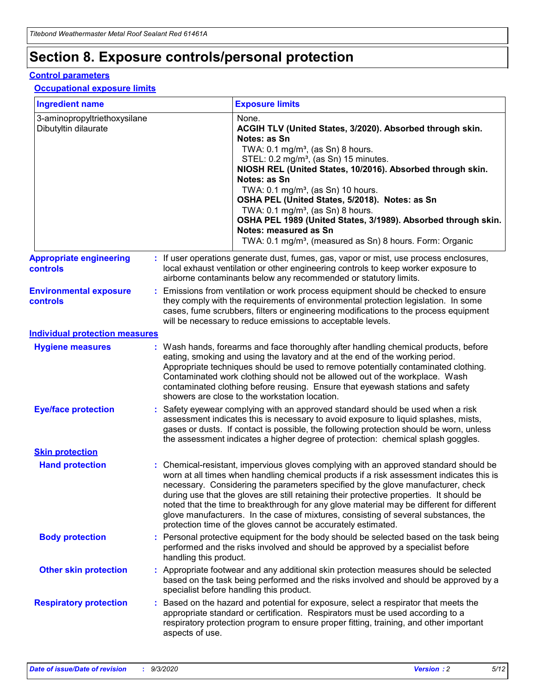# **Section 8. Exposure controls/personal protection**

#### **Control parameters**

#### **Occupational exposure limits**

| <b>Ingredient name</b>                               |    |                        | <b>Exposure limits</b>                                                                                                                                                                                                                                                                                                                                                                                                                                                                                                                                                                                                 |
|------------------------------------------------------|----|------------------------|------------------------------------------------------------------------------------------------------------------------------------------------------------------------------------------------------------------------------------------------------------------------------------------------------------------------------------------------------------------------------------------------------------------------------------------------------------------------------------------------------------------------------------------------------------------------------------------------------------------------|
| 3-aminopropyltriethoxysilane<br>Dibutyltin dilaurate |    |                        | None.<br>ACGIH TLV (United States, 3/2020). Absorbed through skin.<br>Notes: as Sn<br>TWA: $0.1 \text{ mg/m}^3$ , (as Sn) 8 hours.<br>STEL: 0.2 mg/m <sup>3</sup> , (as Sn) 15 minutes.<br>NIOSH REL (United States, 10/2016). Absorbed through skin.<br>Notes: as Sn<br>TWA: 0.1 mg/m <sup>3</sup> , (as Sn) 10 hours.<br>OSHA PEL (United States, 5/2018). Notes: as Sn<br>TWA: $0.1 \text{ mg/m}^3$ , (as Sn) 8 hours.<br>OSHA PEL 1989 (United States, 3/1989). Absorbed through skin.<br>Notes: measured as Sn<br>TWA: 0.1 mg/m <sup>3</sup> , (measured as Sn) 8 hours. Form: Organic                            |
| <b>Appropriate engineering</b><br>controls           |    |                        | : If user operations generate dust, fumes, gas, vapor or mist, use process enclosures,<br>local exhaust ventilation or other engineering controls to keep worker exposure to<br>airborne contaminants below any recommended or statutory limits.                                                                                                                                                                                                                                                                                                                                                                       |
| <b>Environmental exposure</b><br>controls            |    |                        | Emissions from ventilation or work process equipment should be checked to ensure<br>they comply with the requirements of environmental protection legislation. In some<br>cases, fume scrubbers, filters or engineering modifications to the process equipment<br>will be necessary to reduce emissions to acceptable levels.                                                                                                                                                                                                                                                                                          |
| <b>Individual protection measures</b>                |    |                        |                                                                                                                                                                                                                                                                                                                                                                                                                                                                                                                                                                                                                        |
| <b>Hygiene measures</b>                              |    |                        | : Wash hands, forearms and face thoroughly after handling chemical products, before<br>eating, smoking and using the lavatory and at the end of the working period.<br>Appropriate techniques should be used to remove potentially contaminated clothing.<br>Contaminated work clothing should not be allowed out of the workplace. Wash<br>contaminated clothing before reusing. Ensure that eyewash stations and safety<br>showers are close to the workstation location.                                                                                                                                            |
| <b>Eye/face protection</b>                           |    |                        | : Safety eyewear complying with an approved standard should be used when a risk<br>assessment indicates this is necessary to avoid exposure to liquid splashes, mists,<br>gases or dusts. If contact is possible, the following protection should be worn, unless<br>the assessment indicates a higher degree of protection: chemical splash goggles.                                                                                                                                                                                                                                                                  |
| <b>Skin protection</b>                               |    |                        |                                                                                                                                                                                                                                                                                                                                                                                                                                                                                                                                                                                                                        |
| <b>Hand protection</b>                               |    |                        | : Chemical-resistant, impervious gloves complying with an approved standard should be<br>worn at all times when handling chemical products if a risk assessment indicates this is<br>necessary. Considering the parameters specified by the glove manufacturer, check<br>during use that the gloves are still retaining their protective properties. It should be<br>noted that the time to breakthrough for any glove material may be different for different<br>glove manufacturers. In the case of mixtures, consisting of several substances, the<br>protection time of the gloves cannot be accurately estimated. |
| <b>Body protection</b>                               |    | handling this product. | Personal protective equipment for the body should be selected based on the task being<br>performed and the risks involved and should be approved by a specialist before                                                                                                                                                                                                                                                                                                                                                                                                                                                |
| <b>Other skin protection</b>                         |    |                        | : Appropriate footwear and any additional skin protection measures should be selected<br>based on the task being performed and the risks involved and should be approved by a<br>specialist before handling this product.                                                                                                                                                                                                                                                                                                                                                                                              |
| <b>Respiratory protection</b>                        | ÷. | aspects of use.        | Based on the hazard and potential for exposure, select a respirator that meets the<br>appropriate standard or certification. Respirators must be used according to a<br>respiratory protection program to ensure proper fitting, training, and other important                                                                                                                                                                                                                                                                                                                                                         |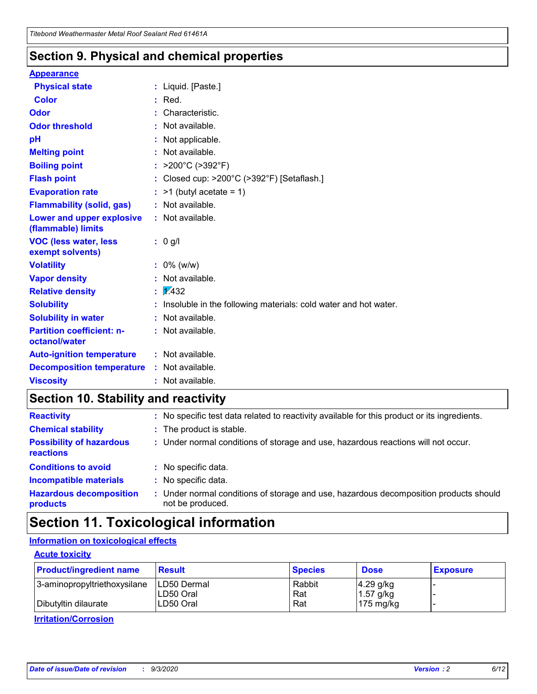### **Section 9. Physical and chemical properties**

#### **Appearance**

| <b>Physical state</b>                             |   | : Liquid. [Paste.]                                              |
|---------------------------------------------------|---|-----------------------------------------------------------------|
| <b>Color</b>                                      |   | Red.                                                            |
| Odor                                              |   | Characteristic.                                                 |
| <b>Odor threshold</b>                             | ÷ | Not available.                                                  |
| рH                                                |   | Not applicable.                                                 |
| <b>Melting point</b>                              |   | : Not available.                                                |
| <b>Boiling point</b>                              |   | >200°C (>392°F)                                                 |
| <b>Flash point</b>                                |   | Closed cup: >200°C (>392°F) [Setaflash.]                        |
| <b>Evaporation rate</b>                           |   | $:$ >1 (butyl acetate = 1)                                      |
| <b>Flammability (solid, gas)</b>                  |   | : Not available.                                                |
| Lower and upper explosive<br>(flammable) limits   |   | : Not available.                                                |
| <b>VOC (less water, less)</b><br>exempt solvents) |   | : 0 g/l                                                         |
| <b>Volatility</b>                                 |   | $: 0\%$ (w/w)                                                   |
| <b>Vapor density</b>                              |   | Not available.                                                  |
| <b>Relative density</b>                           |   | $\mathbf{1}$ $\mathbf{\sqrt{432}}$                              |
| <b>Solubility</b>                                 |   | Insoluble in the following materials: cold water and hot water. |
| <b>Solubility in water</b>                        |   | Not available.                                                  |
| <b>Partition coefficient: n-</b><br>octanol/water |   | $:$ Not available.                                              |
| <b>Auto-ignition temperature</b>                  |   | : Not available.                                                |
| <b>Decomposition temperature</b>                  |   | : Not available.                                                |
| <b>Viscosity</b>                                  |   | $:$ Not available.                                              |

### **Section 10. Stability and reactivity**

| <b>Reactivity</b>                            |    | : No specific test data related to reactivity available for this product or its ingredients.            |
|----------------------------------------------|----|---------------------------------------------------------------------------------------------------------|
| <b>Chemical stability</b>                    |    | : The product is stable.                                                                                |
| <b>Possibility of hazardous</b><br>reactions |    | : Under normal conditions of storage and use, hazardous reactions will not occur.                       |
| <b>Conditions to avoid</b>                   |    | : No specific data.                                                                                     |
| <b>Incompatible materials</b>                | ٠. | No specific data.                                                                                       |
| <b>Hazardous decomposition</b><br>products   | ÷. | Under normal conditions of storage and use, hazardous decomposition products should<br>not be produced. |

### **Section 11. Toxicological information**

#### **Information on toxicological effects**

#### **Acute toxicity**

| <b>Product/ingredient name</b> | <b>Result</b>           | <b>Species</b> | <b>Dose</b>                | <b>Exposure</b> |
|--------------------------------|-------------------------|----------------|----------------------------|-----------------|
| 3-aminopropyltriethoxysilane   | <b>ILD50 Dermal</b>     | Rabbit         | 4.29 g/kg                  |                 |
| Dibutyltin dilaurate           | ILD50 Oral<br>LD50 Oral | Rat<br>Rat     | $1.57$ g/kg<br>175 $mg/kg$ |                 |
|                                |                         |                |                            |                 |

**Irritation/Corrosion**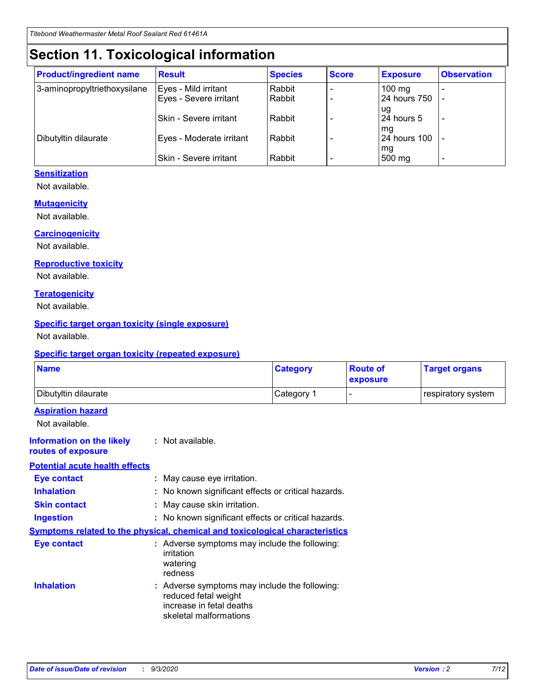# **Section 11. Toxicological information**

| <b>Product/ingredient name</b> | <b>Result</b>                 | <b>Species</b> | <b>Score</b> | <b>Exposure</b>    | <b>Observation</b>       |
|--------------------------------|-------------------------------|----------------|--------------|--------------------|--------------------------|
| 3-aminopropyltriethoxysilane   | Eyes - Mild irritant          | Rabbit         |              | $100 \text{ mg}$   |                          |
|                                | Eyes - Severe irritant        | Rabbit         |              | 24 hours 750       |                          |
|                                |                               |                |              | ug                 |                          |
|                                | <b>Skin - Severe irritant</b> | Rabbit         |              | 24 hours 5         | $\overline{\phantom{0}}$ |
| Dibutyltin dilaurate           | Eyes - Moderate irritant      | Rabbit         |              | mg<br>24 hours 100 |                          |
|                                |                               |                |              | mg                 |                          |
|                                | Skin - Severe irritant        | Rabbit         |              | 500 mg             | -                        |

#### **Sensitization**

Not available.

#### **Mutagenicity**

Not available.

#### **Carcinogenicity**

Not available.

#### **Reproductive toxicity**

Not available.

#### **Teratogenicity**

Not available.

#### **Specific target organ toxicity (single exposure)**

Not available.

#### **Specific target organ toxicity (repeated exposure)**

| <b>Name</b>                                                                         |                                                                            | <b>Category</b>                                     | <b>Route of</b><br>exposure | <b>Target organs</b> |  |
|-------------------------------------------------------------------------------------|----------------------------------------------------------------------------|-----------------------------------------------------|-----------------------------|----------------------|--|
| Dibutyltin dilaurate                                                                |                                                                            | Category 1                                          | -                           | respiratory system   |  |
| <b>Aspiration hazard</b><br>Not available.                                          |                                                                            |                                                     |                             |                      |  |
| <b>Information on the likely</b><br>routes of exposure                              | : Not available.                                                           |                                                     |                             |                      |  |
| <b>Potential acute health effects</b>                                               |                                                                            |                                                     |                             |                      |  |
| <b>Eye contact</b>                                                                  | : May cause eye irritation.                                                |                                                     |                             |                      |  |
| <b>Inhalation</b>                                                                   |                                                                            | : No known significant effects or critical hazards. |                             |                      |  |
| <b>Skin contact</b>                                                                 |                                                                            | : May cause skin irritation.                        |                             |                      |  |
| <b>Ingestion</b>                                                                    |                                                                            | : No known significant effects or critical hazards. |                             |                      |  |
| <b>Symptoms related to the physical, chemical and toxicological characteristics</b> |                                                                            |                                                     |                             |                      |  |
| <b>Eye contact</b>                                                                  | irritation<br>watering<br>redness                                          | : Adverse symptoms may include the following:       |                             |                      |  |
| <b>Inhalation</b>                                                                   | reduced fetal weight<br>increase in fetal deaths<br>skeletal malformations | : Adverse symptoms may include the following:       |                             |                      |  |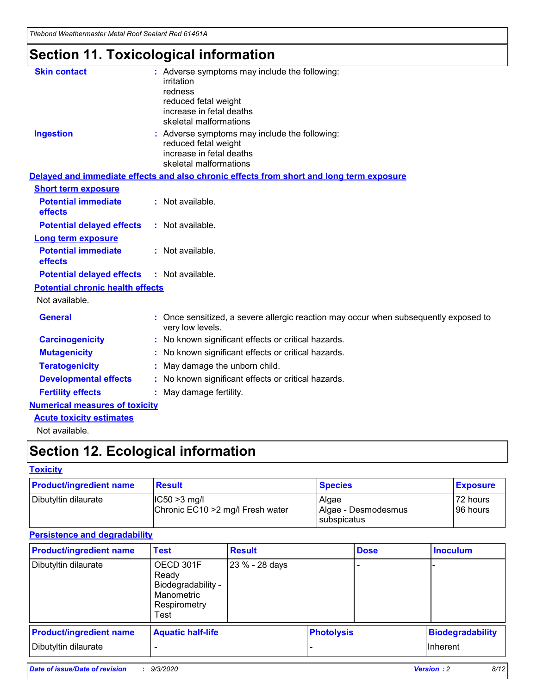*Titebond Weathermaster Metal Roof Sealant Red 61461A*

# **Section 11. Toxicological information**

| <b>Skin contact</b>                     | : Adverse symptoms may include the following:                                                            |
|-----------------------------------------|----------------------------------------------------------------------------------------------------------|
|                                         | irritation                                                                                               |
|                                         | redness<br>reduced fetal weight                                                                          |
|                                         | increase in fetal deaths                                                                                 |
|                                         | skeletal malformations                                                                                   |
| <b>Ingestion</b>                        | : Adverse symptoms may include the following:                                                            |
|                                         | reduced fetal weight<br>increase in fetal deaths                                                         |
|                                         | skeletal malformations                                                                                   |
|                                         | Delayed and immediate effects and also chronic effects from short and long term exposure                 |
| <b>Short term exposure</b>              |                                                                                                          |
| <b>Potential immediate</b><br>effects   | : Not available.                                                                                         |
| <b>Potential delayed effects</b>        | : Not available.                                                                                         |
| <b>Long term exposure</b>               |                                                                                                          |
| <b>Potential immediate</b><br>effects   | : Not available.                                                                                         |
| <b>Potential delayed effects</b>        | : Not available.                                                                                         |
| <b>Potential chronic health effects</b> |                                                                                                          |
| Not available.                          |                                                                                                          |
| <b>General</b>                          | : Once sensitized, a severe allergic reaction may occur when subsequently exposed to<br>very low levels. |
| <b>Carcinogenicity</b>                  | : No known significant effects or critical hazards.                                                      |
| <b>Mutagenicity</b>                     | : No known significant effects or critical hazards.                                                      |
| <b>Teratogenicity</b>                   | May damage the unborn child.                                                                             |
| <b>Developmental effects</b>            | : No known significant effects or critical hazards.                                                      |
| <b>Fertility effects</b>                | : May damage fertility.                                                                                  |
| <b>Numerical measures of toxicity</b>   |                                                                                                          |
| <b>Acute toxicity estimates</b>         |                                                                                                          |
| والمادانون والملا                       |                                                                                                          |

Not available.

# **Section 12. Ecological information**

#### **Toxicity**

| <b>Product/ingredient name</b> | <b>Result</b>                                       | <b>Species</b>               | <b>Exposure</b>       |
|--------------------------------|-----------------------------------------------------|------------------------------|-----------------------|
| Dibutyltin dilaurate           | $ CC50>3$ mg/l<br>Chronic EC10 > 2 mg/l Fresh water | Algae<br>Algae - Desmodesmus | 72 hours<br>196 hours |
|                                |                                                     | <b>I</b> subspicatus         |                       |

#### **Persistence and degradability**

| <b>Product/ingredient name</b> | <b>Test</b>                                                                    | <b>Result</b>  |                   | <b>Dose</b> | <b>Inoculum</b>         |
|--------------------------------|--------------------------------------------------------------------------------|----------------|-------------------|-------------|-------------------------|
| Dibutyltin dilaurate           | OECD 301F<br>Ready<br>Biodegradability -<br>Manometric<br>Respirometry<br>Test | 23 % - 28 days |                   |             |                         |
| <b>Product/ingredient name</b> | <b>Aquatic half-life</b>                                                       |                | <b>Photolysis</b> |             | <b>Biodegradability</b> |
| Dibutyltin dilaurate           |                                                                                |                |                   |             | <b>Inherent</b>         |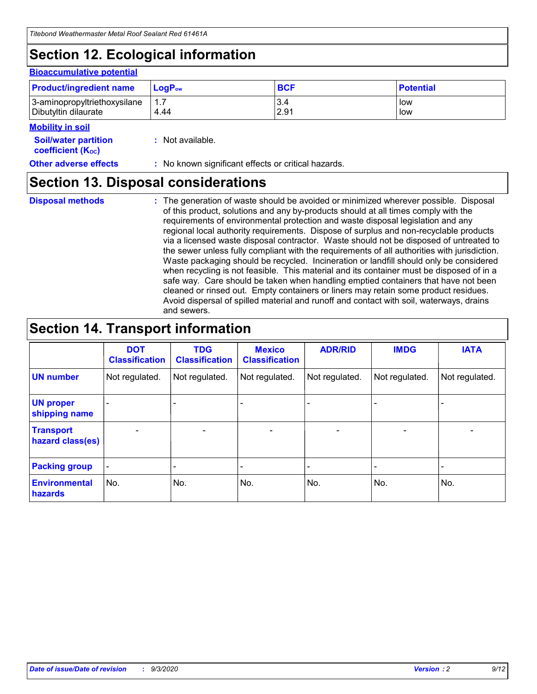# **Section 12. Ecological information**

#### **Bioaccumulative potential**

| <b>Product/ingredient name</b> | <b>LogP</b> <sub>ow</sub> | <b>BCF</b> | <b>Potential</b> |
|--------------------------------|---------------------------|------------|------------------|
| 3-aminopropyltriethoxysilane   | 4.44                      | 3.4        | low              |
| Dibutyltin dilaurate           |                           | 2.91       | low              |

#### **Mobility in soil**

| <b>Soil/water partition</b> | : Not available. |
|-----------------------------|------------------|
| <b>coefficient (Koc)</b>    |                  |

**Other adverse effects** : No known significant effects or critical hazards.

### **Section 13. Disposal considerations**

**Disposal methods :**

The generation of waste should be avoided or minimized wherever possible. Disposal of this product, solutions and any by-products should at all times comply with the requirements of environmental protection and waste disposal legislation and any regional local authority requirements. Dispose of surplus and non-recyclable products via a licensed waste disposal contractor. Waste should not be disposed of untreated to the sewer unless fully compliant with the requirements of all authorities with jurisdiction. Waste packaging should be recycled. Incineration or landfill should only be considered when recycling is not feasible. This material and its container must be disposed of in a safe way. Care should be taken when handling emptied containers that have not been cleaned or rinsed out. Empty containers or liners may retain some product residues. Avoid dispersal of spilled material and runoff and contact with soil, waterways, drains and sewers.

### **Section 14. Transport information**

|                                      | <b>DOT</b><br><b>Classification</b> | <b>TDG</b><br><b>Classification</b> | <b>Mexico</b><br><b>Classification</b> | <b>ADR/RID</b>               | <b>IMDG</b>              | <b>IATA</b>    |
|--------------------------------------|-------------------------------------|-------------------------------------|----------------------------------------|------------------------------|--------------------------|----------------|
| <b>UN number</b>                     | Not regulated.                      | Not regulated.                      | Not regulated.                         | Not regulated.               | Not regulated.           | Not regulated. |
| <b>UN proper</b><br>shipping name    |                                     |                                     |                                        |                              |                          |                |
| <b>Transport</b><br>hazard class(es) | $\overline{\phantom{0}}$            | $\qquad \qquad$                     | $\qquad \qquad$                        | $\qquad \qquad \blacksquare$ | $\overline{\phantom{a}}$ |                |
| <b>Packing group</b>                 | $\qquad \qquad \blacksquare$        |                                     |                                        |                              |                          |                |
| <b>Environmental</b><br>hazards      | No.                                 | No.                                 | No.                                    | No.                          | No.                      | No.            |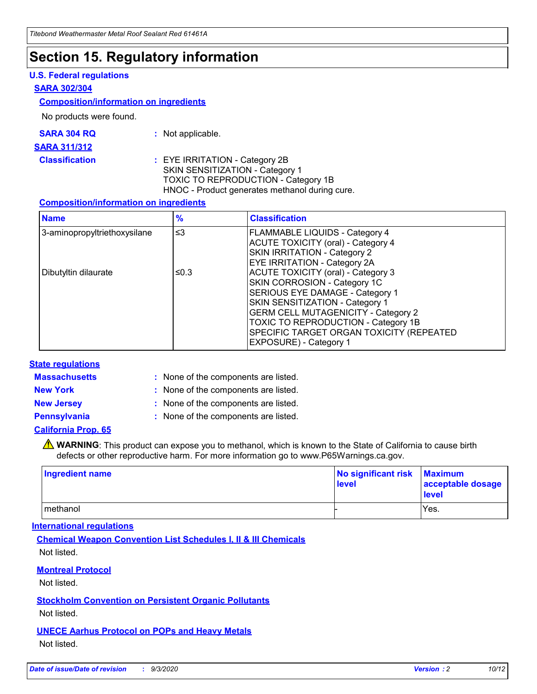### **Section 15. Regulatory information**

#### **U.S. Federal regulations**

#### **SARA 302/304**

#### **Composition/information on ingredients**

No products were found.

| SARA 304 RQ | Not applicable. |
|-------------|-----------------|
|-------------|-----------------|

#### **SARA 311/312**

#### **Classification :** EYE IRRITATION - Category 2B SKIN SENSITIZATION - Category 1 TOXIC TO REPRODUCTION - Category 1B HNOC - Product generates methanol during cure.

#### **Composition/information on ingredients**

| <b>Name</b>                  | $\frac{9}{6}$ | <b>Classification</b>                                                                                                                                                                                                                                                                                      |
|------------------------------|---------------|------------------------------------------------------------------------------------------------------------------------------------------------------------------------------------------------------------------------------------------------------------------------------------------------------------|
| 3-aminopropyltriethoxysilane | $\leq$ 3      | <b>FLAMMABLE LIQUIDS - Category 4</b><br><b>ACUTE TOXICITY (oral) - Category 4</b><br><b>SKIN IRRITATION - Category 2</b><br>EYE IRRITATION - Category 2A                                                                                                                                                  |
| Dibutyltin dilaurate         | ≤0.3          | <b>ACUTE TOXICITY (oral) - Category 3</b><br>SKIN CORROSION - Category 1C<br>SERIOUS EYE DAMAGE - Category 1<br>SKIN SENSITIZATION - Category 1<br><b>GERM CELL MUTAGENICITY - Category 2</b><br>TOXIC TO REPRODUCTION - Category 1B<br>SPECIFIC TARGET ORGAN TOXICITY (REPEATED<br>EXPOSURE) - Category 1 |

#### **State regulations**

**Massachusetts :**

: None of the components are listed.

**New York :** None of the components are listed.

**New Jersey :** None of the components are listed.

**Pennsylvania :** None of the components are listed.

#### **California Prop. 65**

WARNING: This product can expose you to methanol, which is known to the State of California to cause birth defects or other reproductive harm. For more information go to www.P65Warnings.ca.gov.

| Ingredient name | No significant risk Maximum<br>level | acceptable dosage<br><b>level</b> |
|-----------------|--------------------------------------|-----------------------------------|
| I methanol      |                                      | Yes.                              |

#### **International regulations**

**Chemical Weapon Convention List Schedules I, II & III Chemicals** Not listed.

#### **Montreal Protocol**

Not listed.

**Stockholm Convention on Persistent Organic Pollutants**

Not listed.

#### **UNECE Aarhus Protocol on POPs and Heavy Metals** Not listed.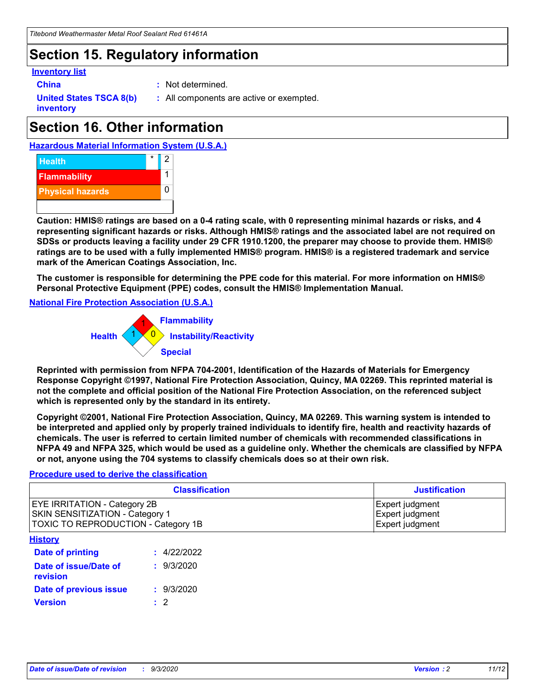### **Section 15. Regulatory information**

#### **Inventory list**

- 
- **China :** Not determined.

**United States TSCA 8(b) inventory**

**:** All components are active or exempted.

# **Section 16. Other information**





**Caution: HMIS® ratings are based on a 0-4 rating scale, with 0 representing minimal hazards or risks, and 4 representing significant hazards or risks. Although HMIS® ratings and the associated label are not required on SDSs or products leaving a facility under 29 CFR 1910.1200, the preparer may choose to provide them. HMIS® ratings are to be used with a fully implemented HMIS® program. HMIS® is a registered trademark and service mark of the American Coatings Association, Inc.**

**The customer is responsible for determining the PPE code for this material. For more information on HMIS® Personal Protective Equipment (PPE) codes, consult the HMIS® Implementation Manual.**

**National Fire Protection Association (U.S.A.)**



**Reprinted with permission from NFPA 704-2001, Identification of the Hazards of Materials for Emergency Response Copyright ©1997, National Fire Protection Association, Quincy, MA 02269. This reprinted material is not the complete and official position of the National Fire Protection Association, on the referenced subject which is represented only by the standard in its entirety.**

**Copyright ©2001, National Fire Protection Association, Quincy, MA 02269. This warning system is intended to be interpreted and applied only by properly trained individuals to identify fire, health and reactivity hazards of chemicals. The user is referred to certain limited number of chemicals with recommended classifications in NFPA 49 and NFPA 325, which would be used as a guideline only. Whether the chemicals are classified by NFPA or not, anyone using the 704 systems to classify chemicals does so at their own risk.**

#### **Procedure used to derive the classification**

| <b>Classification</b>                                                                                                | <b>Justification</b>                                  |
|----------------------------------------------------------------------------------------------------------------------|-------------------------------------------------------|
| <b>EYE IRRITATION - Category 2B</b><br><b>SKIN SENSITIZATION - Category 1</b><br>TOXIC TO REPRODUCTION - Category 1B | Expert judgment<br>Expert judgment<br>Expert judgment |
| <b>History</b>                                                                                                       |                                                       |

| Date of printing                  | : 4/22/2022 |
|-----------------------------------|-------------|
| Date of issue/Date of<br>revision | : 9/3/2020  |
| Date of previous issue            | : 9/3/2020  |
| <b>Version</b>                    | $\cdot$ 2   |
|                                   |             |